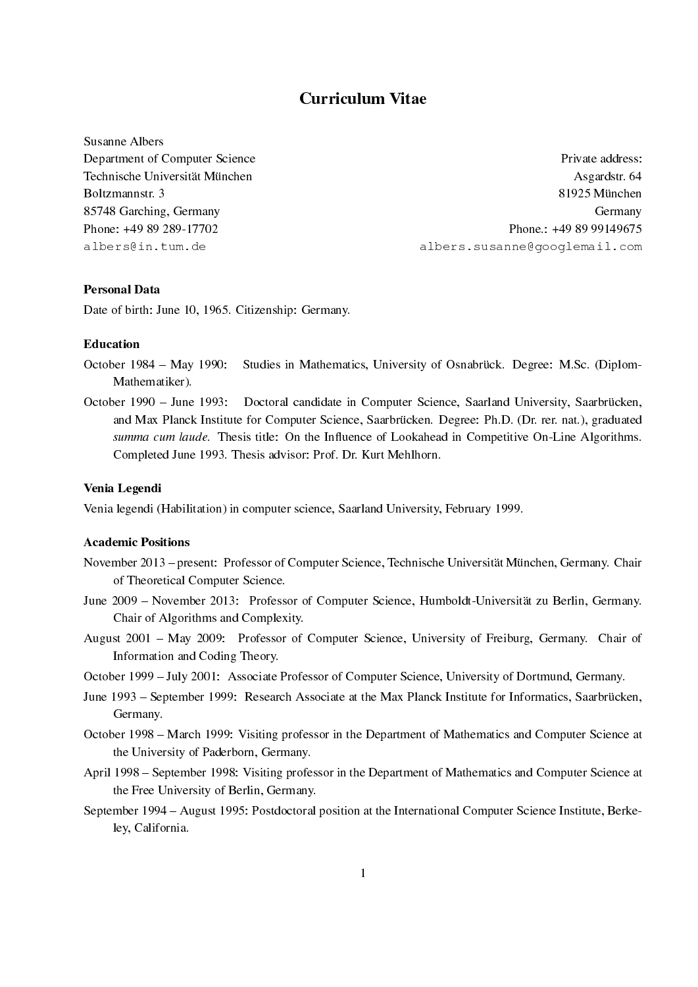# Curriculum Vitae

Susanne Albers

Department of Computer Science **Private address:** Private address: Technische Universität München auf der Asgardstr. 64 metersierung Asgardstr. 64 metersierung Asgardstr. 64 metersierung Asgardstr. 64 metersierung Asgardstr. 64 metersierung Asgardstr. 64 metersierung Asgardstr. 64 metersi Boltzmannstr. 3 81925 München ist eine Statistischen Einstehen ist eine Statistischen Statistischen Statistischen Statistischen Statistischen Statistischen Statistischen Statistischen Statistischen Statistischen Statistisc 85748 Garching, Germany Germany Phone: +49 89 289-17702 Phone.: +49 89 99149675 albers@in.tum.de albers.susanne@googlemail.com

# Personal Data

Date of birth: June 10, 1965. Citizenship: Germany.

### Education

- October 1984 May 1990: Studies in Mathematics, University of Osnabrück. Degree: M.Sc. (Diplom-Mathematiker).
- October 1990 June 1993: Doctoral candidate in Computer Science, Saarland University, Saarbrücken, and Max Planck Institute for Computer Science, Saarbrucken. Degree: Ph.D. (Dr. rer. nat.), graduated ¨ summa cum laude. Thesis title: On the Influence of Lookahead in Competitive On-Line Algorithms. Completed June 1993. Thesis advisor: Prof. Dr. Kurt Mehlhorn.

# Venia Legendi

Venia legendi (Habilitation) in computer science, Saarland University, February 1999.

### Academic Positions

- November 2013 present: Professor of Computer Science, Technische Universität München, Germany. Chair of Theoretical Computer Science.
- June 2009 November 2013: Professor of Computer Science, Humboldt-Universität zu Berlin, Germany. Chair of Algorithms and Complexity.
- August 2001 May 2009: Professor of Computer Science, University of Freiburg, Germany. Chair of Information and Coding Theory.
- October 1999 July 2001: Associate Professor of Computer Science, University of Dortmund, Germany.
- June 1993 September 1999: Research Associate at the Max Planck Institute for Informatics, Saarbrücken, Germany.
- October 1998 March 1999: Visiting professor in the Department of Mathematics and Computer Science at the University of Paderborn, Germany.
- April 1998 September 1998: Visiting professor in the Department of Mathematics and Computer Science at the Free University of Berlin, Germany.
- September 1994 August 1995: Postdoctoral position at the International Computer Science Institute, Berkeley, California.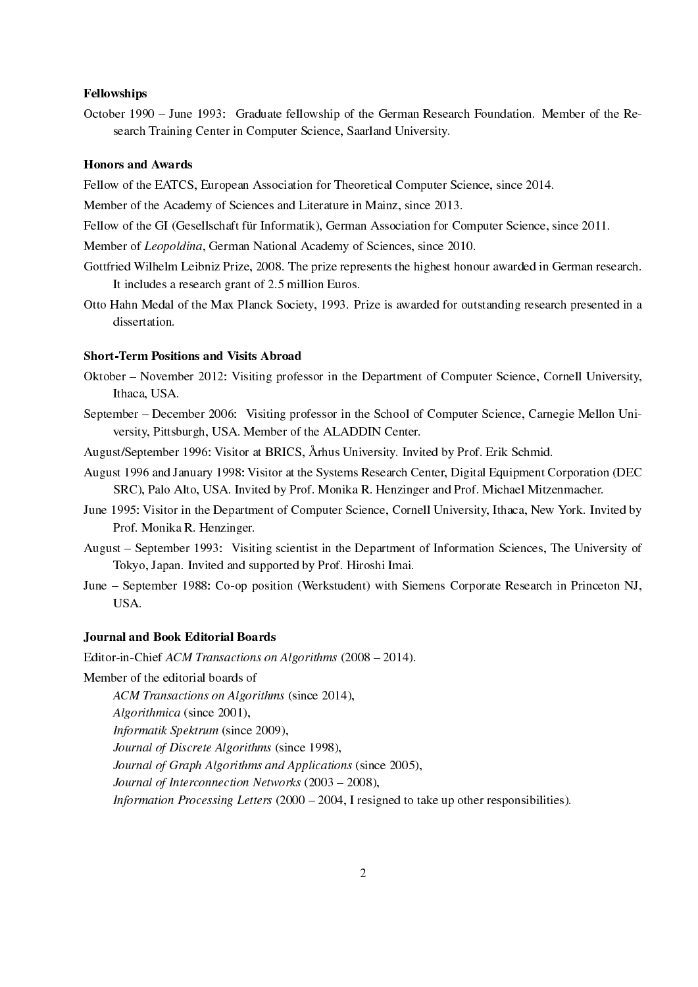### Fellowships

October 1990 – June 1993: Graduate fellowship of the German Research Foundation. Member of the Research Training Center in Computer Science, Saarland University.

#### Honors and Awards

Fellow of the EATCS, European Association for Theoretical Computer Science, since 2014.

Member of the Academy of Sciences and Literature in Mainz, since 2013.

Fellow of the GI (Gesellschaft für Informatik), German Association for Computer Science, since 2011.

Member of Leopoldina, German National Academy of Sciences, since 2010.

- Gottfried Wilhelm Leibniz Prize, 2008. The prize represents the highest honour awarded in German research. It includes a research grant of 2.5 million Euros.
- Otto Hahn Medal of the Max Planck Society, 1993. Prize is awarded for outstanding research presented in a dissertation.

# Short-Term Positions and Visits Abroad

- Oktober November 2012: Visiting professor in the Department of Computer Science, Cornell University, Ithaca, USA.
- September December 2006: Visiting professor in the School of Computer Science, Carnegie Mellon University, Pittsburgh, USA. Member of the ALADDIN Center.
- August/September 1996: Visitor at BRICS, Arhus University. Invited by Prof. Erik Schmid.
- August 1996 and January 1998: Visitor at the Systems Research Center, Digital Equipment Corporation (DEC SRC), Palo Alto, USA. Invited by Prof. Monika R. Henzinger and Prof. Michael Mitzenmacher.
- June 1995: Visitor in the Department of Computer Science, Cornell University, Ithaca, New York. Invited by Prof. Monika R. Henzinger.
- August September 1993: Visiting scientist in the Department of Information Sciences, The University of Tokyo, Japan. Invited and supported by Prof. Hiroshi Imai.
- June September 1988: Co-op position (Werkstudent) with Siemens Corporate Research in Princeton NJ, USA.

#### Journal and Book Editorial Boards

Editor-in-Chief ACM Transactions on Algorithms (2008 – 2014).

Member of the editorial boards of

ACM Transactions on Algorithms (since 2014),

Algorithmica (since 2001),

Informatik Spektrum (since 2009),

Journal of Discrete Algorithms (since 1998),

Journal of Graph Algorithms and Applications (since 2005),

Journal of Interconnection Networks  $(2003 - 2008)$ ,

*Information Processing Letters* ( $2000 - 2004$ , I resigned to take up other responsibilities).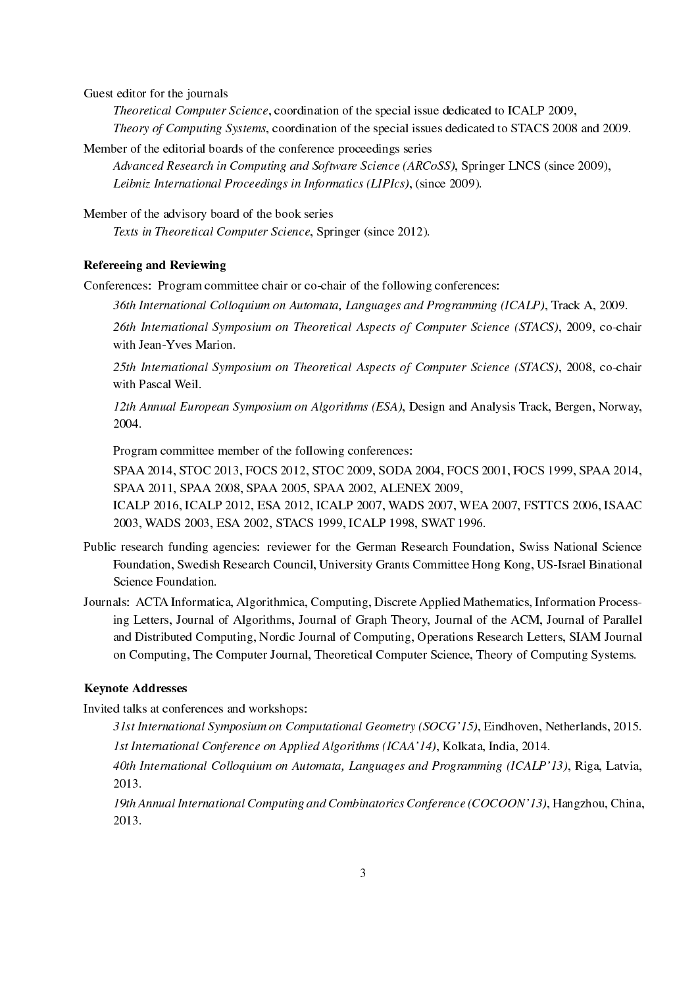Guest editor for the journals

Theoretical Computer Science, coordination of the special issue dedicated to ICALP 2009, Theory of Computing Systems, coordination of the special issues dedicated to STACS 2008 and 2009.

Member of the editorial boards of the conference proceedings series

Advanced Research in Computing and Software Science (ARCoSS), Springer LNCS (since 2009), Leibniz International Proceedings in Informatics (LIPIcs), (since 2009).

Member of the advisory board of the book series

Texts in Theoretical Computer Science, Springer (since 2012).

### Refereeing and Reviewing

Conferences: Program committee chair or co-chair of the following conferences:

36th International Colloquium on Automata, Languages and Programming (ICALP), Track A, 2009.

26th International Symposium on Theoretical Aspects of Computer Science (STACS), 2009, co-chair with Jean-Yves Marion.

25th International Symposium on Theoretical Aspects of Computer Science (STACS), 2008, co-chair with Pascal Weil.

12th Annual European Symposium on Algorithms (ESA), Design and Analysis Track, Bergen, Norway, 2004.

Program committee member of the following conferences:

SPAA 2014, STOC 2013, FOCS 2012, STOC 2009, SODA 2004, FOCS 2001, FOCS 1999, SPAA 2014, SPAA 2011, SPAA 2008, SPAA 2005, SPAA 2002, ALENEX 2009,

ICALP 2016, ICALP 2012, ESA 2012, ICALP 2007, WADS 2007, WEA 2007, FSTTCS 2006, ISAAC 2003, WADS 2003, ESA 2002, STACS 1999, ICALP 1998, SWAT 1996.

- Public research funding agencies: reviewer for the German Research Foundation, Swiss National Science Foundation, Swedish Research Council, University Grants Committee Hong Kong, US-Israel Binational Science Foundation.
- Journals: ACTA Informatica, Algorithmica, Computing, Discrete Applied Mathematics, Information Processing Letters, Journal of Algorithms, Journal of Graph Theory, Journal of the ACM, Journal of Parallel and Distributed Computing, Nordic Journal of Computing, Operations Research Letters, SIAM Journal on Computing, The Computer Journal, Theoretical Computer Science, Theory of Computing Systems.

# Keynote Addresses

Invited talks at conferences and workshops:

31st International Symposium on Computational Geometry (SOCG'15), Eindhoven, Netherlands, 2015. 1st International Conference on Applied Algorithms (ICAA'14), Kolkata, India, 2014.

40th International Colloquium on Automata, Languages and Programming (ICALP'13), Riga, Latvia, 2013.

19th Annual International Computing and Combinatorics Conference (COCOON'13), Hangzhou, China, 2013.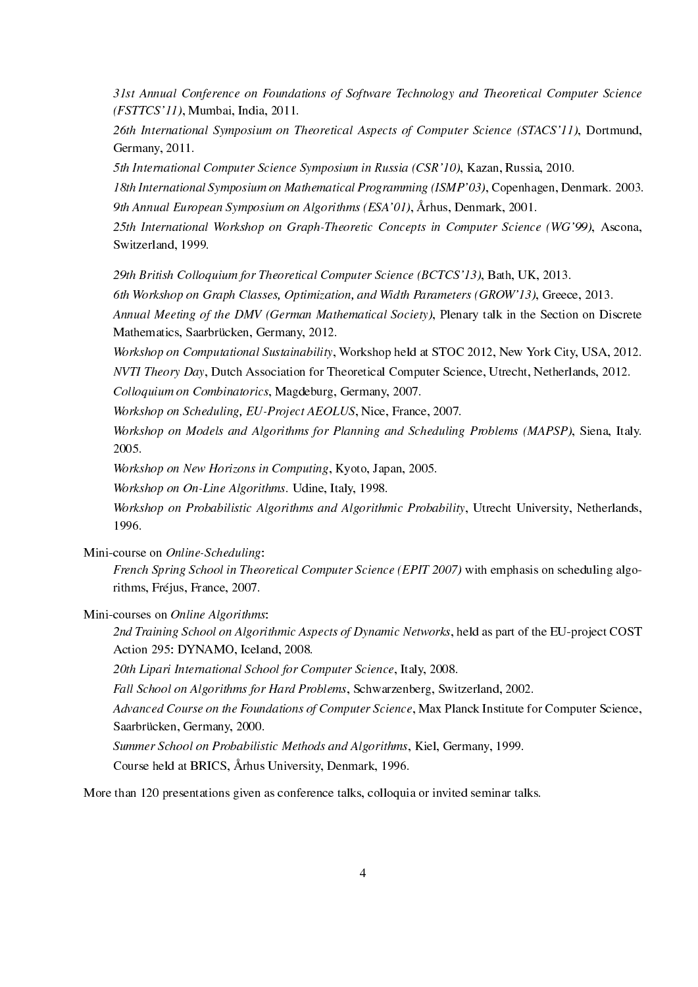31st Annual Conference on Foundations of Software Technology and Theoretical Computer Science (FSTTCS'11), Mumbai, India, 2011.

26th International Symposium on Theoretical Aspects of Computer Science (STACS'11), Dortmund, Germany, 2011.

5th International Computer Science Symposium in Russia (CSR'10), Kazan, Russia, 2010.

18th International Symposium on Mathematical Programming (ISMP'03), Copenhagen, Denmark. 2003. 9th Annual European Symposium on Algorithms (ESA'01), Arhus, Denmark, 2001. 

25th International Workshop on Graph-Theoretic Concepts in Computer Science (WG'99), Ascona, Switzerland, 1999.

29th British Colloquium for Theoretical Computer Science (BCTCS'13), Bath, UK, 2013.

6th Workshop on Graph Classes, Optimization, and Width Parameters (GROW'13), Greece, 2013.

Annual Meeting of the DMV (German Mathematical Society), Plenary talk in the Section on Discrete Mathematics, Saarbrücken, Germany, 2012.

Workshop on Computational Sustainability, Workshop held at STOC 2012, New York City, USA, 2012. NVTI Theory Day, Dutch Association for Theoretical Computer Science, Utrecht, Netherlands, 2012.

Colloquium on Combinatorics, Magdeburg, Germany, 2007.

Workshop on Scheduling, EU-Project AEOLUS, Nice, France, 2007.

Workshop on Models and Algorithms for Planning and Scheduling Problems (MAPSP), Siena, Italy. 2005.

Workshop on New Horizons in Computing, Kyoto, Japan, 2005.

Workshop on On-Line Algorithms. Udine, Italy, 1998.

Workshop on Probabilistic Algorithms and Algorithmic Probability, Utrecht University, Netherlands, 1996.

Mini-course on Online-Scheduling:

French Spring School in Theoretical Computer Science (EPIT 2007) with emphasis on scheduling algorithms, Fréjus, France, 2007.

Mini-courses on Online Algorithms:

2nd Training School on Algorithmic Aspects of Dynamic Networks, held as part of the EU-project COST Action 295: DYNAMO, Iceland, 2008.

20th Lipari International School for Computer Science, Italy, 2008.

Fall School on Algorithms for Hard Problems, Schwarzenberg, Switzerland, 2002.

Advanced Course on the Foundations of Computer Science, Max Planck Institute for Computer Science, Saarbrücken, Germany, 2000.

Summer School on Probabilistic Methods and Algorithms, Kiel, Germany, 1999.

Course held at BRICS, Arhus University, Denmark, 1996. 

More than 120 presentations given as conference talks, colloquia or invited seminar talks.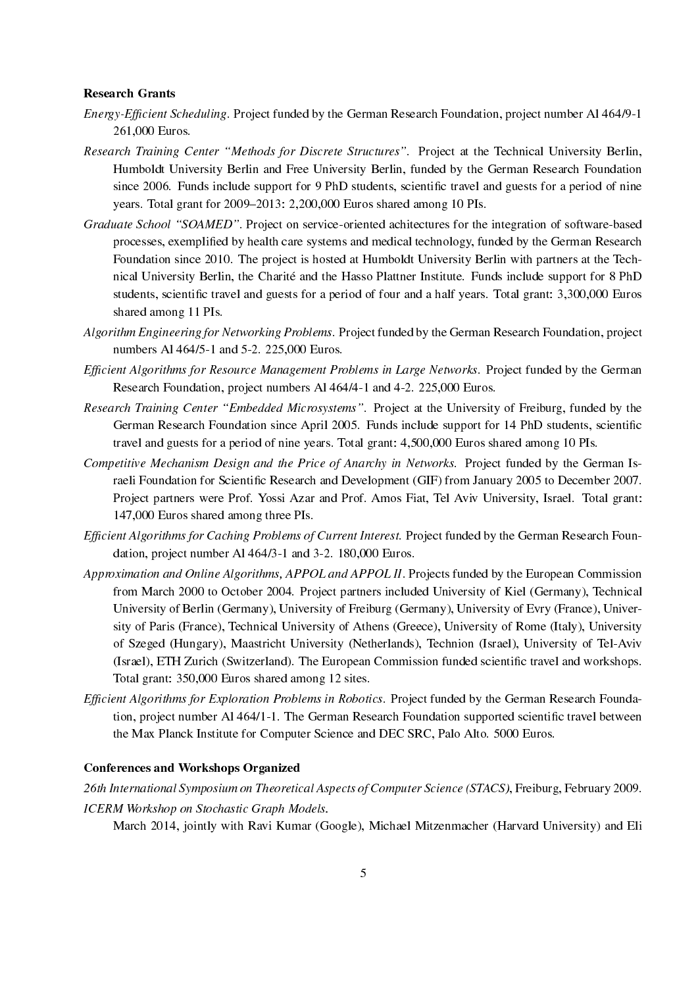#### Research Grants

- Energy-Efficient Scheduling. Project funded by the German Research Foundation, project number Al 464/9-1 261,000 Euros.
- Research Training Center "Methods for Discrete Structures". Project at the Technical University Berlin, Humboldt University Berlin and Free University Berlin, funded by the German Research Foundation since 2006. Funds include support for 9 PhD students, scientific travel and guests for a period of nine years. Total grant for 2009–2013: 2,200,000 Euros shared among 10 PIs.
- Graduate School "SOAMED". Project on service-oriented achitectures for the integration of software-based processes, exemplified by health care systems and medical technology, funded by the German Research Foundation since 2010. The project is hosted at Humboldt University Berlin with partners at the Technical University Berlin, the Charité and the Hasso Plattner Institute. Funds include support for 8 PhD students, scientific travel and guests for a period of four and a half years. Total grant: 3,300,000 Euros shared among 11 PIs.
- Algorithm Engineering for Networking Problems. Project funded by the German Research Foundation, project numbers Al 464/5-1 and 5-2. 225,000 Euros.
- Efficient Algorithms for Resource Management Problems in Large Networks. Project funded by the German Research Foundation, project numbers Al 464/4-1 and 4-2. 225,000 Euros.
- Research Training Center "Embedded Microsystems". Project at the University of Freiburg, funded by the German Research Foundation since April 2005. Funds include support for 14 PhD students, scientific travel and guests for a period of nine years. Total grant: 4,500,000 Euros shared among 10 PIs.
- Competitive Mechanism Design and the Price of Anarchy in Networks. Project funded by the German Israeli Foundation for Scientific Research and Development (GIF) from January 2005 to December 2007. Project partners were Prof. Yossi Azar and Prof. Amos Fiat, Tel Aviv University, Israel. Total grant: 147,000 Euros shared among three PIs.
- Efficient Algorithms for Caching Problems of Current Interest. Project funded by the German Research Foundation, project number Al 464/3-1 and 3-2. 180,000 Euros.
- Approximation and Online Algorithms, APPOL and APPOL II. Projects funded by the European Commission from March 2000 to October 2004. Project partners included University of Kiel (Germany), Technical University of Berlin (Germany), University of Freiburg (Germany), University of Evry (France), University of Paris (France), Technical University of Athens (Greece), University of Rome (Italy), University of Szeged (Hungary), Maastricht University (Netherlands), Technion (Israel), University of Tel-Aviv (Israel), ETH Zurich (Switzerland). The European Commission funded scientific travel and workshops. Total grant: 350,000 Euros shared among 12 sites.
- Efficient Algorithms for Exploration Problems in Robotics. Project funded by the German Research Foundation, project number Al 464/1-1. The German Research Foundation supported scientific travel between the Max Planck Institute for Computer Science and DEC SRC, Palo Alto. 5000 Euros.

### Conferences and Workshops Organized

26th International Symposium on Theoretical Aspects of Computer Science (STACS), Freiburg, February 2009. ICERM Workshop on Stochastic Graph Models.

March 2014, jointly with Ravi Kumar (Google), Michael Mitzenmacher (Harvard University) and Eli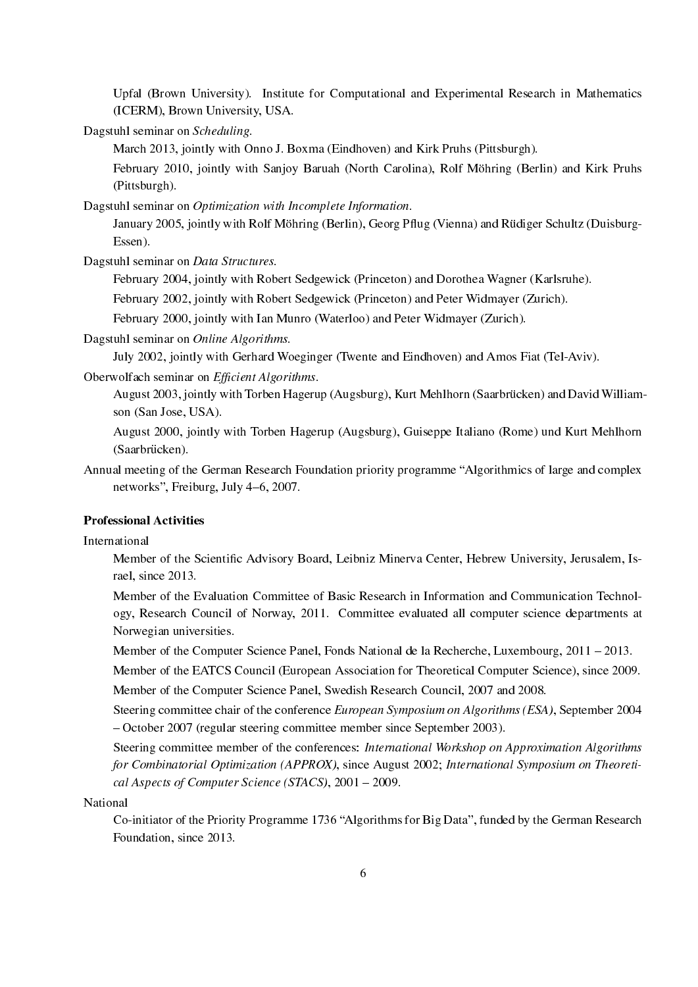Upfal (Brown University). Institute for Computational and Experimental Research in Mathematics (ICERM), Brown University, USA.

Dagstuhl seminar on Scheduling.

March 2013, jointly with Onno J. Boxma (Eindhoven) and Kirk Pruhs (Pittsburgh).

February 2010, jointly with Sanjoy Baruah (North Carolina), Rolf Möhring (Berlin) and Kirk Pruhs (Pittsburgh).

Dagstuhl seminar on Optimization with Incomplete Information.

January 2005, jointly with Rolf Möhring (Berlin), Georg Pflug (Vienna) and Rüdiger Schultz (Duisburg-Essen).

Dagstuhl seminar on Data Structures.

February 2004, jointly with Robert Sedgewick (Princeton) and Dorothea Wagner (Karlsruhe).

February 2002, jointly with Robert Sedgewick (Princeton) and Peter Widmayer (Zurich).

February 2000, jointly with Ian Munro (Waterloo) and Peter Widmayer (Zurich).

Dagstuhl seminar on Online Algorithms.

July 2002, jointly with Gerhard Woeginger (Twente and Eindhoven) and Amos Fiat (Tel-Aviv).

Oberwolfach seminar on Efficient Algorithms.

August 2003, jointly with Torben Hagerup (Augsburg), Kurt Mehlhorn (Saarbrucken) and David William- ¨ son (San Jose, USA).

August 2000, jointly with Torben Hagerup (Augsburg), Guiseppe Italiano (Rome) und Kurt Mehlhorn (Saarbrücken).

Annual meeting of the German Research Foundation priority programme "Algorithmics of large and complex networks", Freiburg, July 4-6, 2007.

# Professional Activities

International

Member of the Scientific Advisory Board, Leibniz Minerva Center, Hebrew University, Jerusalem, Israel, since 2013.

Member of the Evaluation Committee of Basic Research in Information and Communication Technology, Research Council of Norway, 2011. Committee evaluated all computer science departments at Norwegian universities.

Member of the Computer Science Panel, Fonds National de la Recherche, Luxembourg, 2011 - 2013.

Member of the EATCS Council (European Association for Theoretical Computer Science), since 2009. Member of the Computer Science Panel, Swedish Research Council, 2007 and 2008.

Steering committee chair of the conference European Symposium on Algorithms (ESA), September 2004 - October 2007 (regular steering committee member since September 2003).

Steering committee member of the conferences: International Workshop on Approximation Algorithms for Combinatorial Optimization (APPROX), since August 2002; International Symposium on Theoretical Aspects of Computer Science (STACS),  $2001 - 2009$ .

National

Co-initiator of the Priority Programme 1736 "Algorithms for Big Data", funded by the German Research Foundation, since 2013.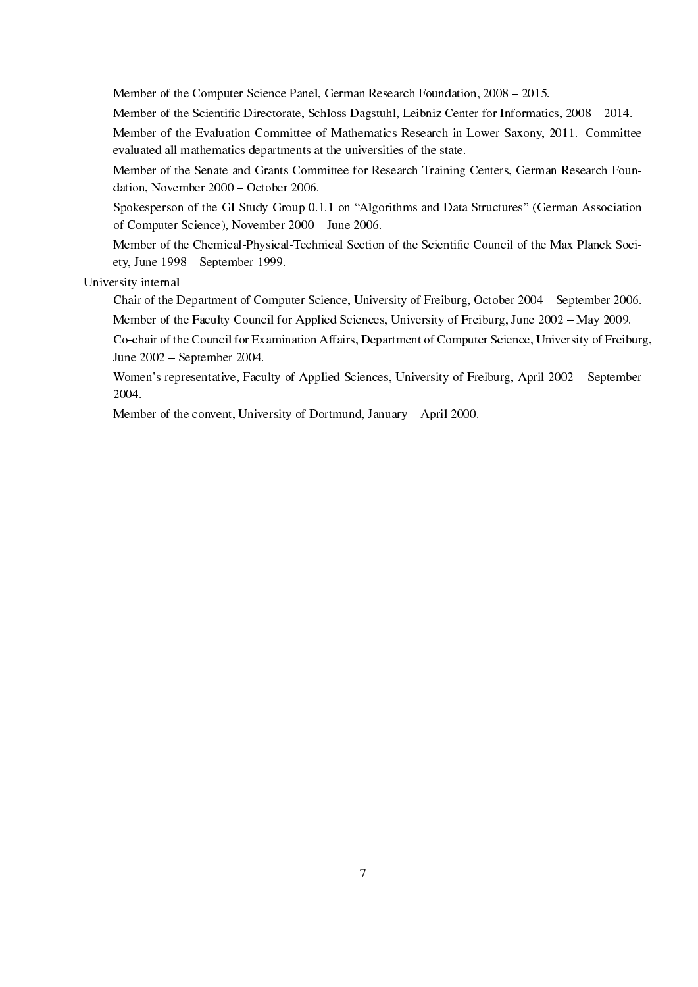Member of the Computer Science Panel, German Research Foundation, 2008 - 2015.

Member of the Scientific Directorate, Schloss Dagstuhl, Leibniz Center for Informatics, 2008 – 2014.

Member of the Evaluation Committee of Mathematics Research in Lower Saxony, 2011. Committee evaluated all mathematics departments at the universities of the state.

Member of the Senate and Grants Committee for Research Training Centers, German Research Foundation, November 2000 – October 2006.

Spokesperson of the GI Study Group 0.1.1 on "Algorithms and Data Structures" (German Association of Computer Science), November 2000 June 2006.

Member of the Chemical-Physical-Technical Section of the Scientific Council of the Max Planck Society, June 1998 - September 1999.

University internal

Chair of the Department of Computer Science, University of Freiburg, October 2004 – September 2006. Member of the Faculty Council for Applied Sciences, University of Freiburg, June 2002 - May 2009.

Co-chair of the Council for Examination Affairs, Department of Computer Science, University of Freiburg, June 2002 – September 2004.

Women's representative, Faculty of Applied Sciences, University of Freiburg, April 2002 - September 2004.

Member of the convent, University of Dortmund, January  $-$  April 2000.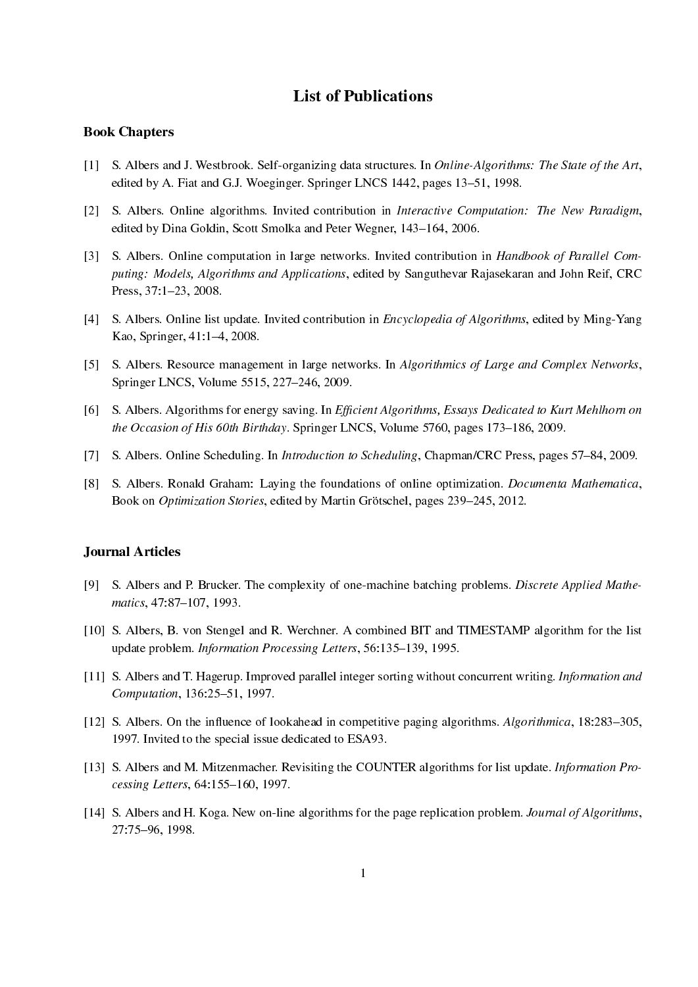# List of Publications

#### Book Chapters

- [1] S. Albers and J. Westbrook. Self-organizing data structures. In Online-Algorithms: The State of the Art, edited by A. Fiat and G.J. Woeginger. Springer LNCS 1442, pages 13–51, 1998.
- [2] S. Albers. Online algorithms. Invited contribution in Interactive Computation: The New Paradigm, edited by Dina Goldin, Scott Smolka and Peter Wegner, 143-164, 2006.
- [3] S. Albers. Online computation in large networks. Invited contribution in Handbook of Parallel Computing: Models, Algorithms and Applications, edited by Sanguthevar Rajasekaran and John Reif, CRC Press, 37:1-23, 2008.
- [4] S. Albers. Online list update. Invited contribution in *Encyclopedia of Algorithms*, edited by Ming-Yang Kao, Springer, 41:1-4, 2008.
- [5] S. Albers. Resource management in large networks. In Algorithmics of Large and Complex Networks, Springer LNCS, Volume 5515, 227-246, 2009.
- [6] S. Albers. Algorithms for energy saving. In Efficient Algorithms, Essays Dedicated to Kurt Mehlhorn on the Occasion of His 60th Birthday. Springer LNCS, Volume 5760, pages 173–186, 2009.
- [7] S. Albers. Online Scheduling. In *Introduction to Scheduling*, Chapman/CRC Press, pages 57–84, 2009.
- [8] S. Albers. Ronald Graham: Laying the foundations of online optimization. Documenta Mathematica, Book on *Optimization Stories*, edited by Martin Grötschel, pages 239–245, 2012.

#### Journal Articles

- [9] S. Albers and P. Brucker. The complexity of one-machine batching problems. Discrete Applied Mathematics, 47:87-107, 1993.
- [10] S. Albers, B. von Stengel and R. Werchner. A combined BIT and TIMESTAMP algorithm for the list update problem. Information Processing Letters, 56:135-139, 1995.
- [11] S. Albers and T. Hagerup. Improved parallel integer sorting without concurrent writing. Information and Computation, 136:25-51, 1997.
- [12] S. Albers. On the influence of lookahead in competitive paging algorithms. Algorithmica,  $18:283-305$ , 1997. Invited to the special issue dedicated to ESA93.
- [13] S. Albers and M. Mitzenmacher. Revisiting the COUNTER algorithms for list update. Information Processing Letters, 64:155-160, 1997.
- [14] S. Albers and H. Koga. New on-line algorithms for the page replication problem. Journal of Algorithms, 27:7596, 1998.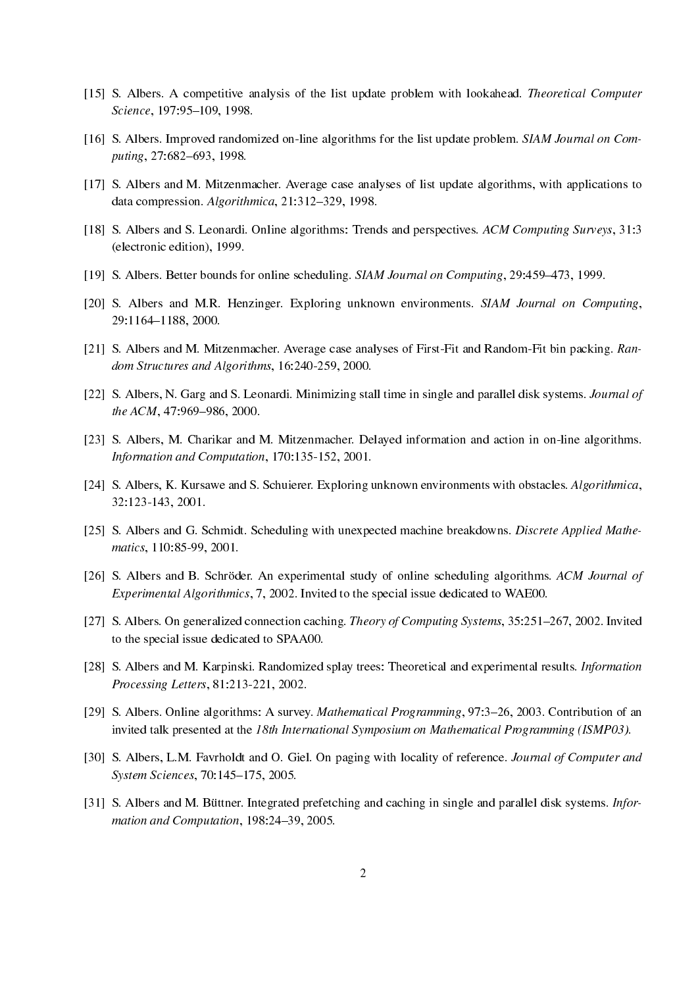- [15] S. Albers. A competitive analysis of the list update problem with lookahead. Theoretical Computer Science, 197:95-109, 1998.
- [16] S. Albers. Improved randomized on-line algorithms for the list update problem. SIAM Journal on Computing, 27:682-693, 1998.
- [17] S. Albers and M. Mitzenmacher. Average case analyses of list update algorithms, with applications to data compression. Algorithmica, 21:312-329, 1998.
- [18] S. Albers and S. Leonardi. Online algorithms: Trends and perspectives. ACM Computing Surveys, 31:3 (electronic edition), 1999.
- [19] S. Albers. Better bounds for online scheduling. SIAM Journal on Computing, 29:459-473, 1999.
- [20] S. Albers and M.R. Henzinger. Exploring unknown environments. SIAM Journal on Computing, 29:1164-1188, 2000.
- [21] S. Albers and M. Mitzenmacher. Average case analyses of First-Fit and Random-Fit bin packing. Random Structures and Algorithms, 16:240-259, 2000.
- [22] S. Albers, N. Garg and S. Leonardi. Minimizing stall time in single and parallel disk systems. *Journal of* the ACM,  $47:969-986$ ,  $2000$ .
- [23] S. Albers, M. Charikar and M. Mitzenmacher. Delayed information and action in on-line algorithms. Information and Computation, 170:135-152, 2001.
- [24] S. Albers, K. Kursawe and S. Schuierer. Exploring unknown environments with obstacles. Algorithmica, 32:123-143, 2001.
- [25] S. Albers and G. Schmidt. Scheduling with unexpected machine breakdowns. Discrete Applied Mathematics, 110:85-99, 2001.
- [26] S. Albers and B. Schröder. An experimental study of online scheduling algorithms. ACM Journal of Experimental Algorithmics, 7, 2002. Invited to the special issue dedicated to WAE00.
- [27] S. Albers. On generalized connection caching. Theory of Computing Systems, 35:251-267, 2002. Invited to the special issue dedicated to SPAA00.
- [28] S. Albers and M. Karpinski. Randomized splay trees: Theoretical and experimental results. *Information* Processing Letters, 81:213-221, 2002.
- [29] S. Albers. Online algorithms: A survey. *Mathematical Programming*, 97:3–26, 2003. Contribution of an invited talk presented at the 18th International Symposium on Mathematical Programming (ISMP03).
- [30] S. Albers, L.M. Favrholdt and O. Giel. On paging with locality of reference. Journal of Computer and System Sciences, 70:145-175, 2005.
- [31] S. Albers and M. Büttner. Integrated prefetching and caching in single and parallel disk systems. Information and Computation, 198:24-39, 2005.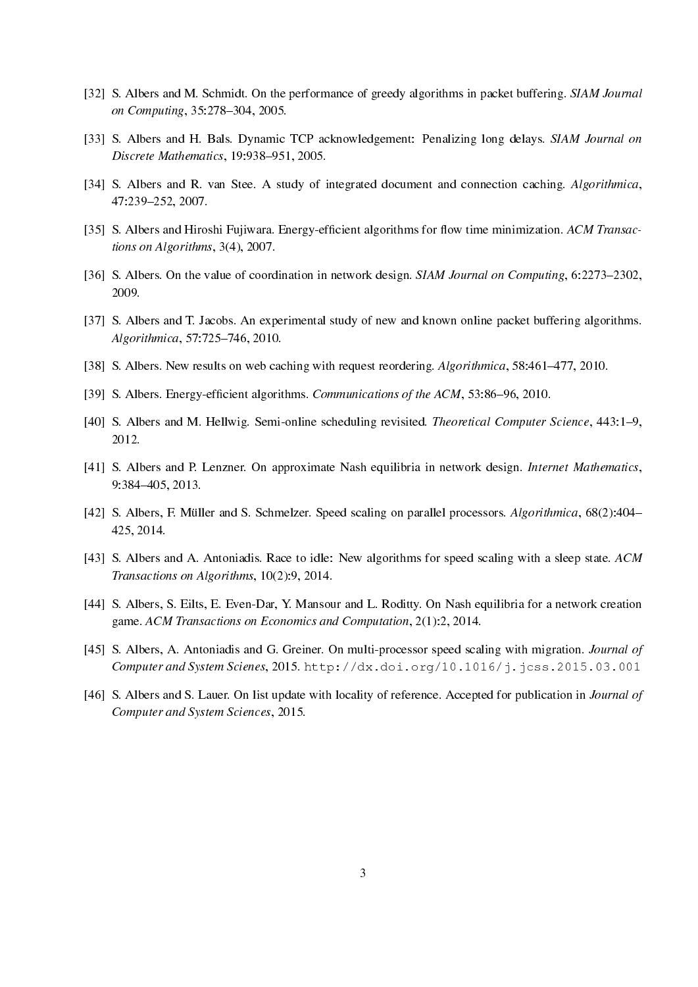- [32] S. Albers and M. Schmidt. On the performance of greedy algorithms in packet buffering. SIAM Journal on Computing, 35:278-304, 2005.
- [33] S. Albers and H. Bals. Dynamic TCP acknowledgement: Penalizing long delays. SIAM Journal on  $Discrete Mathematics, 19:938–951, 2005.$
- [34] S. Albers and R. van Stee. A study of integrated document and connection caching. Algorithmica, 47:239252, 2007.
- [35] S. Albers and Hiroshi Fujiwara. Energy-efficient algorithms for flow time minimization. ACM Transactions on Algorithms, 3(4), 2007.
- [36] S. Albers. On the value of coordination in network design. SIAM Journal on Computing, 6:2273–2302, 2009.
- [37] S. Albers and T. Jacobs. An experimental study of new and known online packet buffering algorithms. Algorithmica, 57:725-746, 2010.
- [38] S. Albers. New results on web caching with request reordering. Algorithmica, 58:461-477, 2010.
- [39] S. Albers. Energy-efficient algorithms. Communications of the ACM, 53:86-96, 2010.
- [40] S. Albers and M. Hellwig. Semi-online scheduling revisited. Theoretical Computer Science, 443:1–9, 2012.
- [41] S. Albers and P. Lenzner. On approximate Nash equilibria in network design. Internet Mathematics, 9:384405, 2013.
- [42] S. Albers, F. Müller and S. Schmelzer. Speed scaling on parallel processors. Algorithmica, 68(2):404– 425, 2014.
- [43] S. Albers and A. Antoniadis. Race to idle: New algorithms for speed scaling with a sleep state. ACM Transactions on Algorithms, 10(2):9, 2014.
- [44] S. Albers, S. Eilts, E. Even-Dar, Y. Mansour and L. Roditty. On Nash equilibria for a network creation game. ACM Transactions on Economics and Computation, 2(1):2, 2014.
- [45] S. Albers, A. Antoniadis and G. Greiner. On multi-processor speed scaling with migration. Journal of Computer and System Scienes, 2015. http://dx.doi.org/10.1016/j.jcss.2015.03.001
- [46] S. Albers and S. Lauer. On list update with locality of reference. Accepted for publication in *Journal of* Computer and System Sciences, 2015.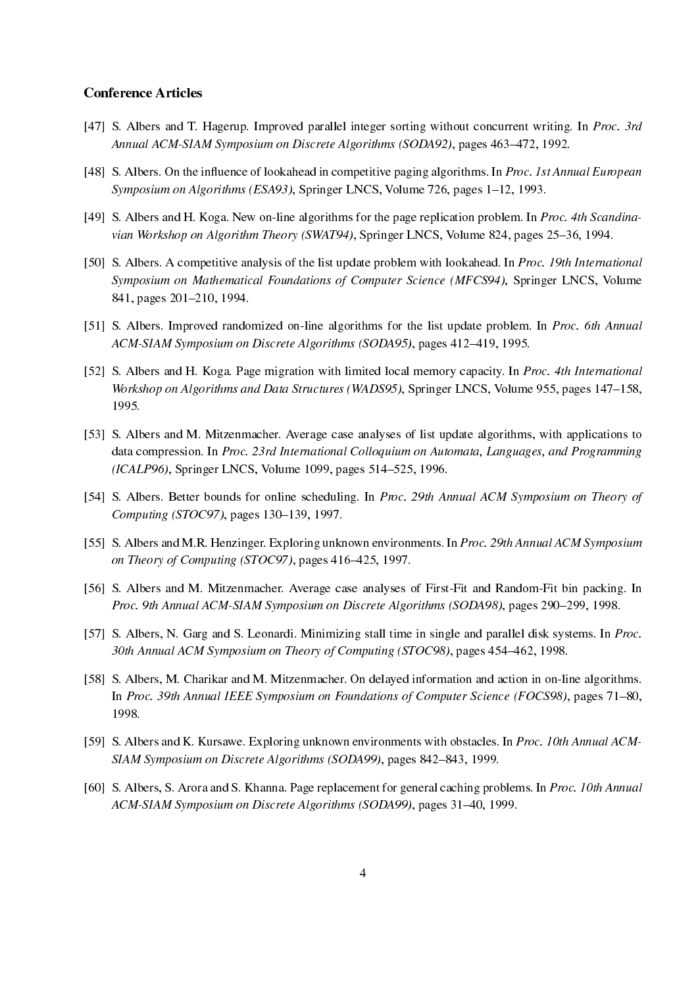### Conference Articles

- [47] S. Albers and T. Hagerup. Improved parallel integer sorting without concurrent writing. In Proc. 3rd Annual ACM-SIAM Symposium on Discrete Algorithms (SODA92), pages 463-472, 1992.
- [48] S. Albers. On the influence of lookahead in competitive paging algorithms. In Proc. 1st Annual European Symposium on Algorithms (ESA93), Springer LNCS, Volume 726, pages  $1-12$ , 1993.
- [49] S. Albers and H. Koga. New on-line algorithms for the page replication problem. In *Proc. 4th Scandina*vian Workshop on Algorithm Theory (SWAT94), Springer LNCS, Volume 824, pages 25–36, 1994.
- [50] S. Albers. A competitive analysis of the list update problem with lookahead. In Proc. 19th International Symposium on Mathematical Foundations of Computer Science (MFCS94), Springer LNCS, Volume 841, pages 201–210, 1994.
- [51] S. Albers. Improved randomized on-line algorithms for the list update problem. In Proc. 6th Annual ACM-SIAM Symposium on Discrete Algorithms (SODA95), pages 412-419, 1995.
- [52] S. Albers and H. Koga. Page migration with limited local memory capacity. In Proc. 4th International Workshop on Algorithms and Data Structures (WADS95), Springer LNCS, Volume 955, pages 147–158, 1995.
- [53] S. Albers and M. Mitzenmacher. Average case analyses of list update algorithms, with applications to data compression. In Proc. 23rd International Colloquium on Automata, Languages, and Programming (ICALP96), Springer LNCS, Volume 1099, pages 514–525, 1996.
- [54] S. Albers. Better bounds for online scheduling. In Proc. 29th Annual ACM Symposium on Theory of Computing (STOC97), pages 130-139, 1997.
- [55] S. Albers and M.R. Henzinger. Exploring unknown environments. In Proc. 29th Annual ACM Symposium on Theory of Computing (STOC97), pages 416-425, 1997.
- [56] S. Albers and M. Mitzenmacher. Average case analyses of First-Fit and Random-Fit bin packing. In Proc. 9th Annual ACM-SIAM Symposium on Discrete Algorithms (SODA98), pages 290-299, 1998.
- [57] S. Albers, N. Garg and S. Leonardi. Minimizing stall time in single and parallel disk systems. In *Proc.* 30th Annual ACM Symposium on Theory of Computing (STOC98), pages 454–462, 1998.
- [58] S. Albers, M. Charikar and M. Mitzenmacher. On delayed information and action in on-line algorithms. In Proc. 39th Annual IEEE Symposium on Foundations of Computer Science (FOCS98), pages 71–80, 1998.
- [59] S. Albers and K. Kursawe. Exploring unknown environments with obstacles. In Proc. 10th Annual ACM-SIAM Symposium on Discrete Algorithms (SODA99), pages 842–843, 1999.
- [60] S. Albers, S. Arora and S. Khanna. Page replacement for general caching problems. In Proc. 10th Annual ACM-SIAM Symposium on Discrete Algorithms (SODA99), pages 31-40, 1999.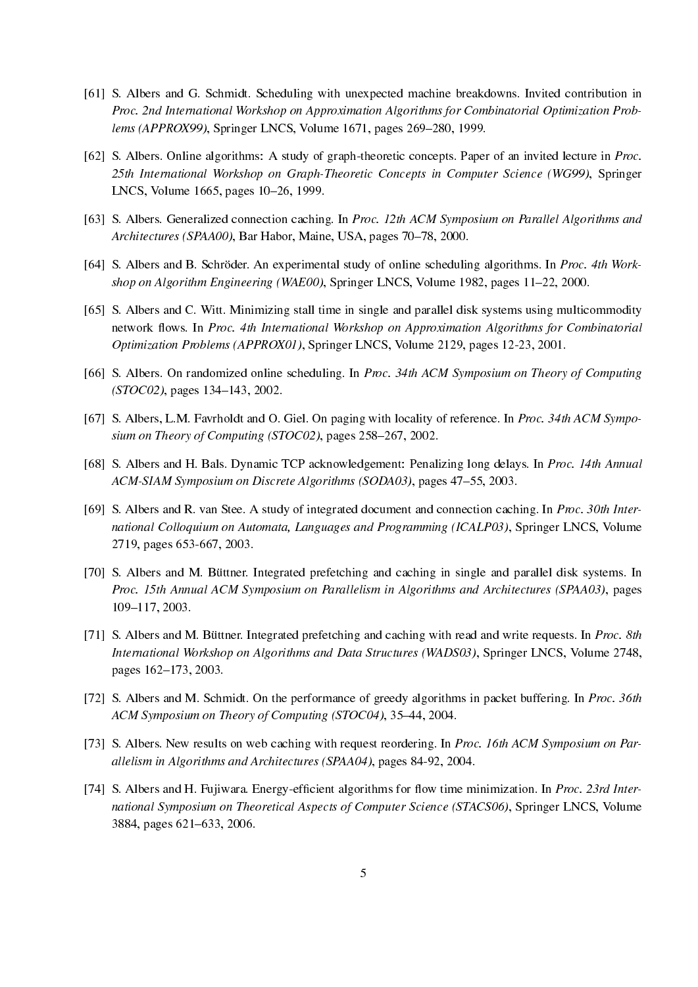- [61] S. Albers and G. Schmidt. Scheduling with unexpected machine breakdowns. Invited contribution in Proc. 2nd International Workshop on Approximation Algorithms for Combinatorial Optimization Problems (APPROX99), Springer LNCS, Volume 1671, pages 269-280, 1999.
- [62] S. Albers. Online algorithms: A study of graph-theoretic concepts. Paper of an invited lecture in Proc. 25th International Workshop on Graph-Theoretic Concepts in Computer Science (WG99), Springer LNCS, Volume 1665, pages 10–26, 1999.
- [63] S. Albers. Generalized connection caching. In Proc. 12th ACM Symposium on Parallel Algorithms and Architectures (SPAA00), Bar Habor, Maine, USA, pages 70–78, 2000.
- [64] S. Albers and B. Schröder. An experimental study of online scheduling algorithms. In *Proc. 4th Work*shop on Algorithm Engineering (WAE00), Springer LNCS, Volume 1982, pages 11–22, 2000.
- [65] S. Albers and C. Witt. Minimizing stall time in single and parallel disk systems using multicommodity network flows. In Proc. 4th International Workshop on Approximation Algorithms for Combinatorial Optimization Problems (APPROX01), Springer LNCS, Volume 2129, pages 12-23, 2001.
- [66] S. Albers. On randomized online scheduling. In Proc. 34th ACM Symposium on Theory of Computing  $(TOCO2)$ , pages 134-143, 2002.
- [67] S. Albers, L.M. Favrholdt and O. Giel. On paging with locality of reference. In Proc. 34th ACM Symposium on Theory of Computing (STOC02), pages  $258-267$ , 2002.
- [68] S. Albers and H. Bals. Dynamic TCP acknowledgement: Penalizing long delays. In Proc. 14th Annual ACM-SIAM Symposium on Discrete Algorithms (SODA03), pages 47–55, 2003.
- [69] S. Albers and R. van Stee. A study of integrated document and connection caching. In Proc. 30th International Colloquium on Automata, Languages and Programming (ICALP03), Springer LNCS, Volume 2719, pages 653-667, 2003.
- [70] S. Albers and M. Büttner. Integrated prefetching and caching in single and parallel disk systems. In Proc. 15th Annual ACM Symposium on Parallelism in Algorithms and Architectures (SPAA03), pages 109-117, 2003.
- [71] S. Albers and M. Büttner. Integrated prefetching and caching with read and write requests. In Proc. 8th International Workshop on Algorithms and Data Structures (WADS03), Springer LNCS, Volume 2748, pages 162-173, 2003.
- [72] S. Albers and M. Schmidt. On the performance of greedy algorithms in packet buffering. In Proc. 36th ACM Symposium on Theory of Computing (STOC04), 35-44, 2004.
- [73] S. Albers. New results on web caching with request reordering. In Proc. 16th ACM Symposium on Parallelism in Algorithms and Architectures (SPAA04), pages 84-92, 2004.
- [74] S. Albers and H. Fujiwara. Energy-efficient algorithms for flow time minimization. In Proc. 23rd International Symposium on Theoretical Aspects of Computer Science (STACS06), Springer LNCS, Volume 3884, pages 621–633, 2006.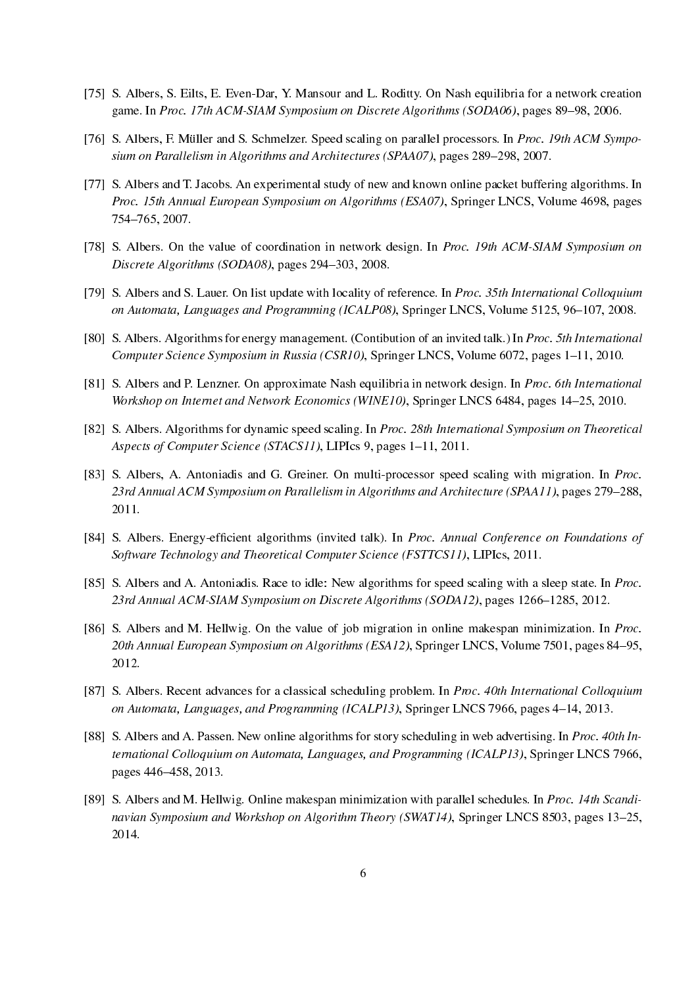- [75] S. Albers, S. Eilts, E. Even-Dar, Y. Mansour and L. Roditty. On Nash equilibria for a network creation game. In Proc. 17th ACM-SIAM Symposium on Discrete Algorithms (SODA06), pages 89–98, 2006.
- [76] S. Albers, F. Müller and S. Schmelzer. Speed scaling on parallel processors. In Proc. 19th ACM Symposium on Parallelism in Algorithms and Architectures (SPAA07), pages 289–298, 2007.
- [77] S. Albers and T. Jacobs. An experimental study of new and known online packet buffering algorithms. In Proc. 15th Annual European Symposium on Algorithms (ESA07), Springer LNCS, Volume 4698, pages 754765, 2007.
- [78] S. Albers. On the value of coordination in network design. In Proc. 19th ACM-SIAM Symposium on Discrete Algorithms (SODA08), pages 294-303, 2008.
- [79] S. Albers and S. Lauer. On list update with locality of reference. In Proc. 35th International Colloquium on Automata, Languages and Programming (ICALP08), Springer LNCS, Volume 5125, 96-107, 2008.
- [80] S. Albers. Algorithms for energy management. (Contibution of an invited talk.) In Proc. 5th International Computer Science Symposium in Russia (CSR10), Springer LNCS, Volume 6072, pages 1–11, 2010.
- [81] S. Albers and P. Lenzner. On approximate Nash equilibria in network design. In Proc. 6th International Workshop on Internet and Network Economics (WINE10), Springer LNCS 6484, pages 14–25, 2010.
- [82] S. Albers. Algorithms for dynamic speed scaling. In Proc. 28th International Symposium on Theoretical Aspects of Computer Science (STACS11), LIPIcs 9, pages 1-11, 2011.
- [83] S. Albers, A. Antoniadis and G. Greiner. On multi-processor speed scaling with migration. In Proc. 23rd Annual ACM Symposium on Parallelism in Algorithms and Architecture (SPAA11), pages 279–288, 2011.
- [84] S. Albers. Energy-efficient algorithms (invited talk). In Proc. Annual Conference on Foundations of Software Technology and Theoretical Computer Science (FSTTCS11), LIPIcs, 2011.
- [85] S. Albers and A. Antoniadis. Race to idle: New algorithms for speed scaling with a sleep state. In Proc. 23rd Annual ACM-SIAM Symposium on Discrete Algorithms (SODA12), pages 1266-1285, 2012.
- [86] S. Albers and M. Hellwig. On the value of job migration in online makespan minimization. In Proc. 20th Annual European Symposium on Algorithms (ESA12), Springer LNCS, Volume 7501, pages 84-95, 2012.
- [87] S. Albers. Recent advances for a classical scheduling problem. In Proc. 40th International Colloquium on Automata, Languages, and Programming (ICALP13), Springer LNCS 7966, pages 4-14, 2013.
- [88] S. Albers and A. Passen. New online algorithms for story scheduling in web advertising. In Proc. 40th International Colloquium on Automata, Languages, and Programming (ICALP13), Springer LNCS 7966, pages 446–458, 2013.
- [89] S. Albers and M. Hellwig. Online makespan minimization with parallel schedules. In Proc. 14th Scandinavian Symposium and Workshop on Algorithm Theory (SWAT14), Springer LNCS 8503, pages  $13-25$ , 2014.